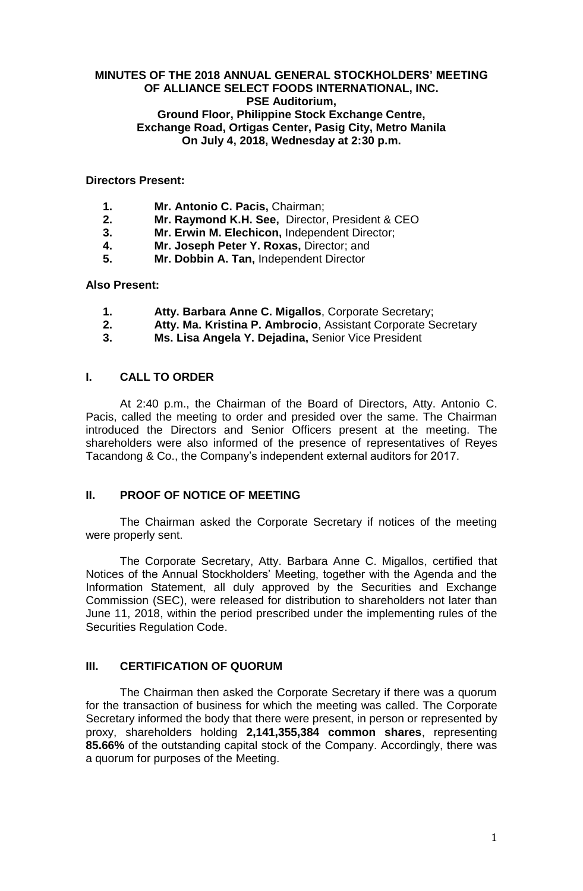## **MINUTES OF THE 2018 ANNUAL GENERAL STOCKHOLDERS' MEETING OF ALLIANCE SELECT FOODS INTERNATIONAL, INC. PSE Auditorium, Ground Floor, Philippine Stock Exchange Centre, Exchange Road, Ortigas Center, Pasig City, Metro Manila On July 4, 2018, Wednesday at 2:30 p.m.**

### **Directors Present:**

- **1. Mr. Antonio C. Pacis,** Chairman;
- **2. Mr. Raymond K.H. See,** Director, President & CEO
- **3. Mr. Erwin M. Elechicon,** Independent Director;
- **4. Mr. Joseph Peter Y. Roxas,** Director; and
- **5. Mr. Dobbin A. Tan,** Independent Director

## **Also Present:**

- **1. Atty. Barbara Anne C. Migallos**, Corporate Secretary;
- **2. Atty. Ma. Kristina P. Ambrocio**, Assistant Corporate Secretary
- **3. Ms. Lisa Angela Y. Dejadina,** Senior Vice President

## **I. CALL TO ORDER**

At 2:40 p.m., the Chairman of the Board of Directors, Atty. Antonio C. Pacis, called the meeting to order and presided over the same. The Chairman introduced the Directors and Senior Officers present at the meeting. The shareholders were also informed of the presence of representatives of Reyes Tacandong & Co., the Company's independent external auditors for 2017.

# **II. PROOF OF NOTICE OF MEETING**

The Chairman asked the Corporate Secretary if notices of the meeting were properly sent.

The Corporate Secretary, Atty. Barbara Anne C. Migallos, certified that Notices of the Annual Stockholders' Meeting, together with the Agenda and the Information Statement, all duly approved by the Securities and Exchange Commission (SEC), were released for distribution to shareholders not later than June 11, 2018, within the period prescribed under the implementing rules of the Securities Regulation Code.

# **III. CERTIFICATION OF QUORUM**

The Chairman then asked the Corporate Secretary if there was a quorum for the transaction of business for which the meeting was called. The Corporate Secretary informed the body that there were present, in person or represented by proxy, shareholders holding **2,141,355,384 common shares**, representing **85.66%** of the outstanding capital stock of the Company. Accordingly, there was a quorum for purposes of the Meeting.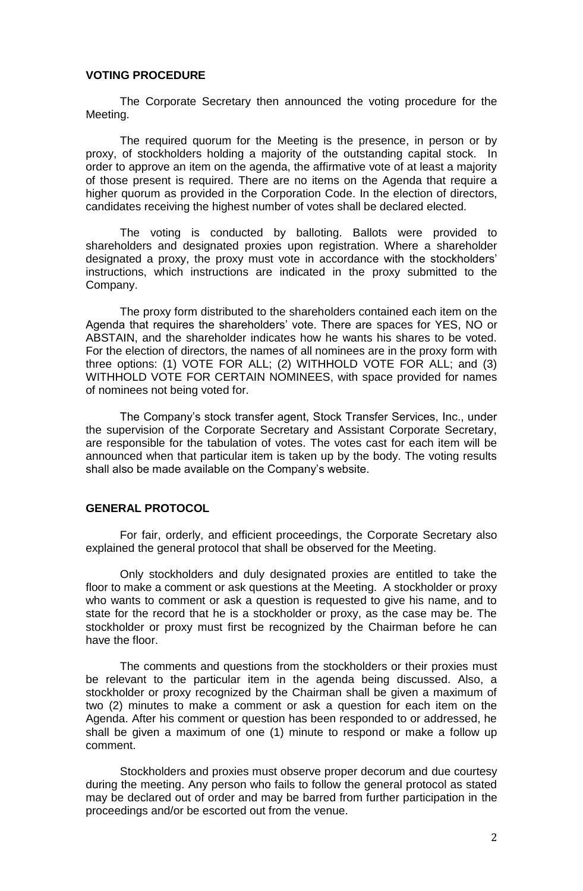## **VOTING PROCEDURE**

The Corporate Secretary then announced the voting procedure for the Meeting.

The required quorum for the Meeting is the presence, in person or by proxy, of stockholders holding a majority of the outstanding capital stock. In order to approve an item on the agenda, the affirmative vote of at least a majority of those present is required. There are no items on the Agenda that require a higher quorum as provided in the Corporation Code. In the election of directors, candidates receiving the highest number of votes shall be declared elected.

The voting is conducted by balloting. Ballots were provided to shareholders and designated proxies upon registration. Where a shareholder designated a proxy, the proxy must vote in accordance with the stockholders' instructions, which instructions are indicated in the proxy submitted to the Company.

The proxy form distributed to the shareholders contained each item on the Agenda that requires the shareholders' vote. There are spaces for YES, NO or ABSTAIN, and the shareholder indicates how he wants his shares to be voted. For the election of directors, the names of all nominees are in the proxy form with three options: (1) VOTE FOR ALL; (2) WITHHOLD VOTE FOR ALL; and (3) WITHHOLD VOTE FOR CERTAIN NOMINEES, with space provided for names of nominees not being voted for.

The Company's stock transfer agent, Stock Transfer Services, Inc., under the supervision of the Corporate Secretary and Assistant Corporate Secretary, are responsible for the tabulation of votes. The votes cast for each item will be announced when that particular item is taken up by the body. The voting results shall also be made available on the Company's website.

#### **GENERAL PROTOCOL**

For fair, orderly, and efficient proceedings, the Corporate Secretary also explained the general protocol that shall be observed for the Meeting.

Only stockholders and duly designated proxies are entitled to take the floor to make a comment or ask questions at the Meeting. A stockholder or proxy who wants to comment or ask a question is requested to give his name, and to state for the record that he is a stockholder or proxy, as the case may be. The stockholder or proxy must first be recognized by the Chairman before he can have the floor.

The comments and questions from the stockholders or their proxies must be relevant to the particular item in the agenda being discussed. Also, a stockholder or proxy recognized by the Chairman shall be given a maximum of two (2) minutes to make a comment or ask a question for each item on the Agenda. After his comment or question has been responded to or addressed, he shall be given a maximum of one (1) minute to respond or make a follow up comment.

Stockholders and proxies must observe proper decorum and due courtesy during the meeting. Any person who fails to follow the general protocol as stated may be declared out of order and may be barred from further participation in the proceedings and/or be escorted out from the venue.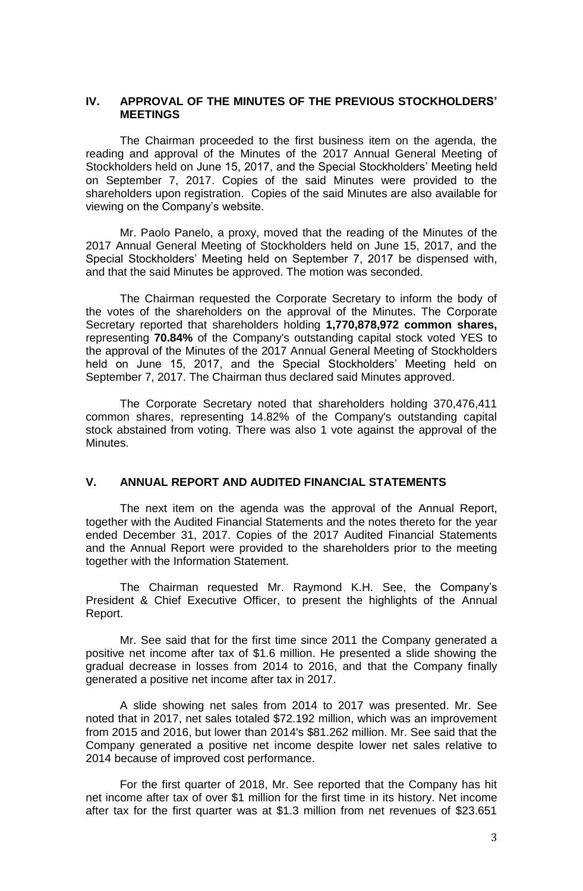#### **IV. APPROVAL OF THE MINUTES OF THE PREVIOUS STOCKHOLDERS' MEETINGS**

The Chairman proceeded to the first business item on the agenda, the reading and approval of the Minutes of the 2017 Annual General Meeting of Stockholders held on June 15, 2017, and the Special Stockholders' Meeting held on September 7, 2017. Copies of the said Minutes were provided to the shareholders upon registration. Copies of the said Minutes are also available for viewing on the Company's website.

Mr. Paolo Panelo, a proxy, moved that the reading of the Minutes of the 2017 Annual General Meeting of Stockholders held on June 15, 2017, and the Special Stockholders' Meeting held on September 7, 2017 be dispensed with, and that the said Minutes be approved. The motion was seconded.

The Chairman requested the Corporate Secretary to inform the body of the votes of the shareholders on the approval of the Minutes. The Corporate Secretary reported that shareholders holding **1,770,878,972 common shares,**  representing **70.84%** of the Company's outstanding capital stock voted YES to the approval of the Minutes of the 2017 Annual General Meeting of Stockholders held on June 15, 2017, and the Special Stockholders' Meeting held on September 7, 2017. The Chairman thus declared said Minutes approved.

The Corporate Secretary noted that shareholders holding 370,476,411 common shares, representing 14.82% of the Company's outstanding capital stock abstained from voting. There was also 1 vote against the approval of the Minutes.

# **V. ANNUAL REPORT AND AUDITED FINANCIAL STATEMENTS**

The next item on the agenda was the approval of the Annual Report, together with the Audited Financial Statements and the notes thereto for the year ended December 31, 2017. Copies of the 2017 Audited Financial Statements and the Annual Report were provided to the shareholders prior to the meeting together with the Information Statement.

The Chairman requested Mr. Raymond K.H. See, the Company's President & Chief Executive Officer, to present the highlights of the Annual Report.

Mr. See said that for the first time since 2011 the Company generated a positive net income after tax of \$1.6 million. He presented a slide showing the gradual decrease in losses from 2014 to 2016, and that the Company finally generated a positive net income after tax in 2017.

A slide showing net sales from 2014 to 2017 was presented. Mr. See noted that in 2017, net sales totaled \$72.192 million, which was an improvement from 2015 and 2016, but lower than 2014's \$81.262 million. Mr. See said that the Company generated a positive net income despite lower net sales relative to 2014 because of improved cost performance.

For the first quarter of 2018, Mr. See reported that the Company has hit net income after tax of over \$1 million for the first time in its history. Net income after tax for the first quarter was at \$1.3 million from net revenues of \$23.651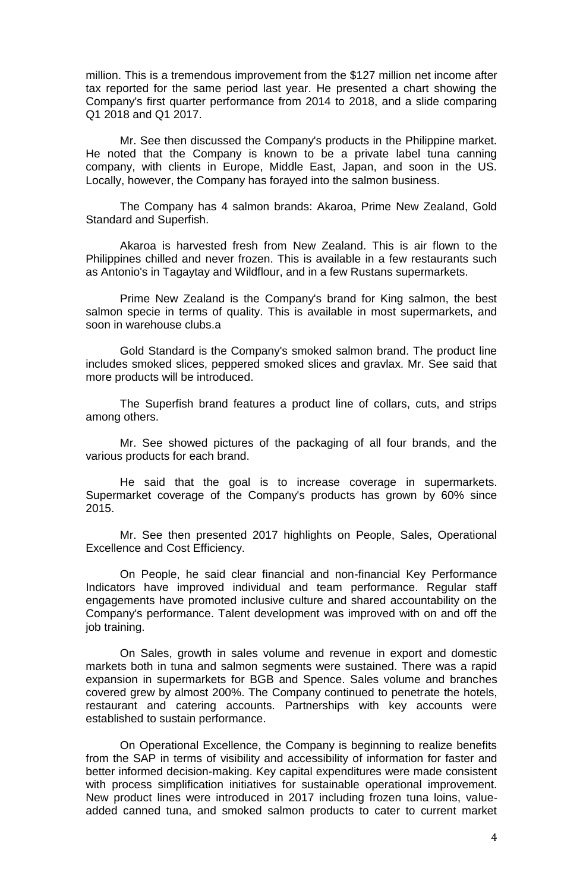million. This is a tremendous improvement from the \$127 million net income after tax reported for the same period last year. He presented a chart showing the Company's first quarter performance from 2014 to 2018, and a slide comparing Q1 2018 and Q1 2017.

Mr. See then discussed the Company's products in the Philippine market. He noted that the Company is known to be a private label tuna canning company, with clients in Europe, Middle East, Japan, and soon in the US. Locally, however, the Company has forayed into the salmon business.

The Company has 4 salmon brands: Akaroa, Prime New Zealand, Gold Standard and Superfish.

Akaroa is harvested fresh from New Zealand. This is air flown to the Philippines chilled and never frozen. This is available in a few restaurants such as Antonio's in Tagaytay and Wildflour, and in a few Rustans supermarkets.

Prime New Zealand is the Company's brand for King salmon, the best salmon specie in terms of quality. This is available in most supermarkets, and soon in warehouse clubs.a

Gold Standard is the Company's smoked salmon brand. The product line includes smoked slices, peppered smoked slices and gravlax. Mr. See said that more products will be introduced.

The Superfish brand features a product line of collars, cuts, and strips among others.

Mr. See showed pictures of the packaging of all four brands, and the various products for each brand.

He said that the goal is to increase coverage in supermarkets. Supermarket coverage of the Company's products has grown by 60% since 2015.

Mr. See then presented 2017 highlights on People, Sales, Operational Excellence and Cost Efficiency.

On People, he said clear financial and non-financial Key Performance Indicators have improved individual and team performance. Regular staff engagements have promoted inclusive culture and shared accountability on the Company's performance. Talent development was improved with on and off the job training.

On Sales, growth in sales volume and revenue in export and domestic markets both in tuna and salmon segments were sustained. There was a rapid expansion in supermarkets for BGB and Spence. Sales volume and branches covered grew by almost 200%. The Company continued to penetrate the hotels, restaurant and catering accounts. Partnerships with key accounts were established to sustain performance.

On Operational Excellence, the Company is beginning to realize benefits from the SAP in terms of visibility and accessibility of information for faster and better informed decision-making. Key capital expenditures were made consistent with process simplification initiatives for sustainable operational improvement. New product lines were introduced in 2017 including frozen tuna loins, valueadded canned tuna, and smoked salmon products to cater to current market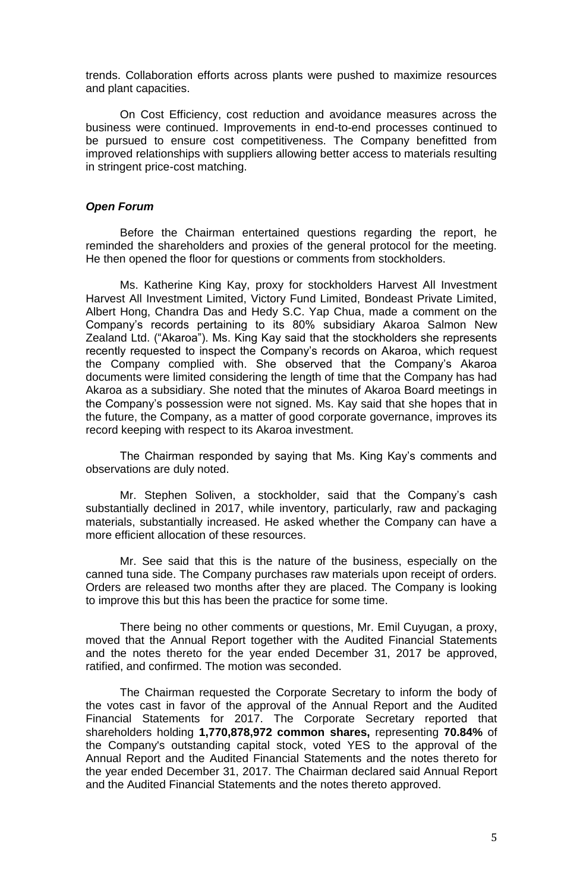trends. Collaboration efforts across plants were pushed to maximize resources and plant capacities.

On Cost Efficiency, cost reduction and avoidance measures across the business were continued. Improvements in end-to-end processes continued to be pursued to ensure cost competitiveness. The Company benefitted from improved relationships with suppliers allowing better access to materials resulting in stringent price-cost matching.

## *Open Forum*

Before the Chairman entertained questions regarding the report, he reminded the shareholders and proxies of the general protocol for the meeting. He then opened the floor for questions or comments from stockholders.

Ms. Katherine King Kay, proxy for stockholders Harvest All Investment Harvest All Investment Limited, Victory Fund Limited, Bondeast Private Limited, Albert Hong, Chandra Das and Hedy S.C. Yap Chua, made a comment on the Company's records pertaining to its 80% subsidiary Akaroa Salmon New Zealand Ltd. ("Akaroa"). Ms. King Kay said that the stockholders she represents recently requested to inspect the Company's records on Akaroa, which request the Company complied with. She observed that the Company's Akaroa documents were limited considering the length of time that the Company has had Akaroa as a subsidiary. She noted that the minutes of Akaroa Board meetings in the Company's possession were not signed. Ms. Kay said that she hopes that in the future, the Company, as a matter of good corporate governance, improves its record keeping with respect to its Akaroa investment.

The Chairman responded by saying that Ms. King Kay's comments and observations are duly noted.

Mr. Stephen Soliven, a stockholder, said that the Company's cash substantially declined in 2017, while inventory, particularly, raw and packaging materials, substantially increased. He asked whether the Company can have a more efficient allocation of these resources.

Mr. See said that this is the nature of the business, especially on the canned tuna side. The Company purchases raw materials upon receipt of orders. Orders are released two months after they are placed. The Company is looking to improve this but this has been the practice for some time.

There being no other comments or questions, Mr. Emil Cuyugan, a proxy, moved that the Annual Report together with the Audited Financial Statements and the notes thereto for the year ended December 31, 2017 be approved, ratified, and confirmed. The motion was seconded.

The Chairman requested the Corporate Secretary to inform the body of the votes cast in favor of the approval of the Annual Report and the Audited Financial Statements for 2017. The Corporate Secretary reported that shareholders holding **1,770,878,972 common shares,** representing **70.84%** of the Company's outstanding capital stock, voted YES to the approval of the Annual Report and the Audited Financial Statements and the notes thereto for the year ended December 31, 2017. The Chairman declared said Annual Report and the Audited Financial Statements and the notes thereto approved.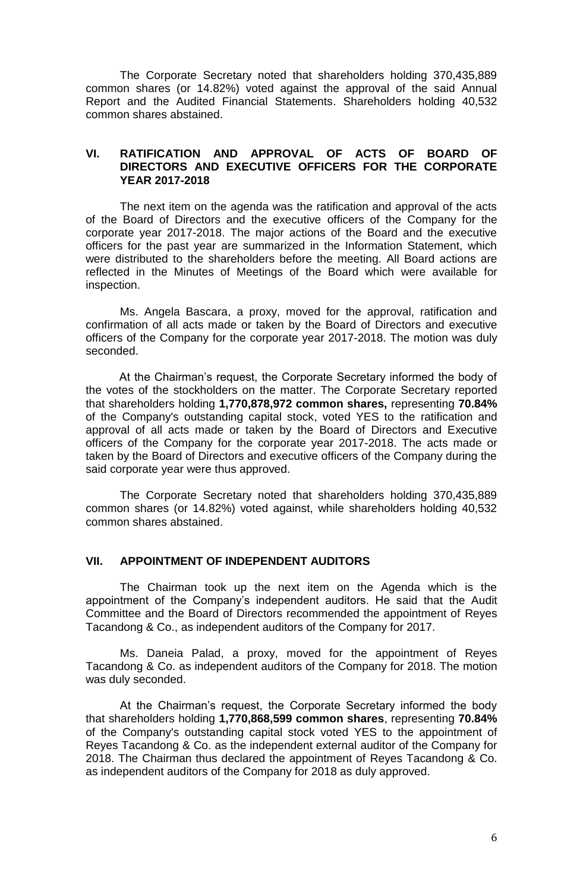The Corporate Secretary noted that shareholders holding 370,435,889 common shares (or 14.82%) voted against the approval of the said Annual Report and the Audited Financial Statements. Shareholders holding 40,532 common shares abstained.

## **VI. RATIFICATION AND APPROVAL OF ACTS OF BOARD OF DIRECTORS AND EXECUTIVE OFFICERS FOR THE CORPORATE YEAR 2017-2018**

The next item on the agenda was the ratification and approval of the acts of the Board of Directors and the executive officers of the Company for the corporate year 2017-2018. The major actions of the Board and the executive officers for the past year are summarized in the Information Statement, which were distributed to the shareholders before the meeting. All Board actions are reflected in the Minutes of Meetings of the Board which were available for inspection.

Ms. Angela Bascara, a proxy, moved for the approval, ratification and confirmation of all acts made or taken by the Board of Directors and executive officers of the Company for the corporate year 2017-2018. The motion was duly seconded.

At the Chairman's request, the Corporate Secretary informed the body of the votes of the stockholders on the matter. The Corporate Secretary reported that shareholders holding **1,770,878,972 common shares,** representing **70.84%** of the Company's outstanding capital stock, voted YES to the ratification and approval of all acts made or taken by the Board of Directors and Executive officers of the Company for the corporate year 2017-2018. The acts made or taken by the Board of Directors and executive officers of the Company during the said corporate year were thus approved.

The Corporate Secretary noted that shareholders holding 370,435,889 common shares (or 14.82%) voted against, while shareholders holding 40,532 common shares abstained.

### **VII. APPOINTMENT OF INDEPENDENT AUDITORS**

The Chairman took up the next item on the Agenda which is the appointment of the Company's independent auditors. He said that the Audit Committee and the Board of Directors recommended the appointment of Reyes Tacandong & Co., as independent auditors of the Company for 2017.

Ms. Daneia Palad, a proxy, moved for the appointment of Reyes Tacandong & Co. as independent auditors of the Company for 2018. The motion was duly seconded.

At the Chairman's request, the Corporate Secretary informed the body that shareholders holding **1,770,868,599 common shares**, representing **70.84%**  of the Company's outstanding capital stock voted YES to the appointment of Reyes Tacandong & Co. as the independent external auditor of the Company for 2018. The Chairman thus declared the appointment of Reyes Tacandong & Co. as independent auditors of the Company for 2018 as duly approved.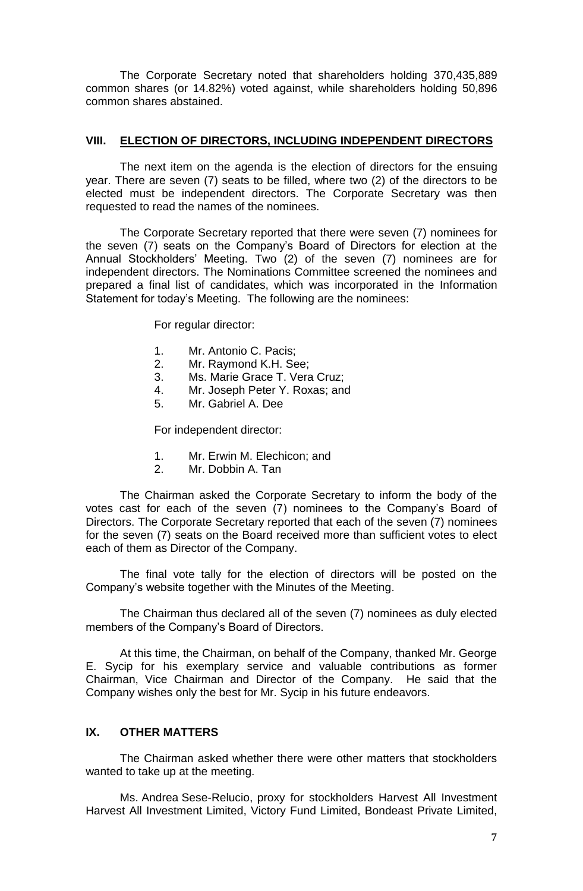The Corporate Secretary noted that shareholders holding 370,435,889 common shares (or 14.82%) voted against, while shareholders holding 50,896 common shares abstained.

### **VIII. ELECTION OF DIRECTORS, INCLUDING INDEPENDENT DIRECTORS**

The next item on the agenda is the election of directors for the ensuing year. There are seven (7) seats to be filled, where two (2) of the directors to be elected must be independent directors. The Corporate Secretary was then requested to read the names of the nominees.

The Corporate Secretary reported that there were seven (7) nominees for the seven (7) seats on the Company's Board of Directors for election at the Annual Stockholders' Meeting. Two (2) of the seven (7) nominees are for independent directors. The Nominations Committee screened the nominees and prepared a final list of candidates, which was incorporated in the Information Statement for today's Meeting. The following are the nominees:

For regular director:

- 1. Mr. Antonio C. Pacis;
- 2. Mr. Raymond K.H. See;
- 3. Ms. Marie Grace T. Vera Cruz;
- 4. Mr. Joseph Peter Y. Roxas; and
- 5. Mr. Gabriel A. Dee

For independent director:

- 1. Mr. Erwin M. Elechicon; and
- 2. Mr. Dobbin A. Tan

The Chairman asked the Corporate Secretary to inform the body of the votes cast for each of the seven (7) nominees to the Company's Board of Directors. The Corporate Secretary reported that each of the seven (7) nominees for the seven (7) seats on the Board received more than sufficient votes to elect each of them as Director of the Company.

The final vote tally for the election of directors will be posted on the Company's website together with the Minutes of the Meeting.

The Chairman thus declared all of the seven (7) nominees as duly elected members of the Company's Board of Directors.

At this time, the Chairman, on behalf of the Company, thanked Mr. George E. Sycip for his exemplary service and valuable contributions as former Chairman, Vice Chairman and Director of the Company. He said that the Company wishes only the best for Mr. Sycip in his future endeavors.

# **IX. OTHER MATTERS**

The Chairman asked whether there were other matters that stockholders wanted to take up at the meeting.

Ms. Andrea Sese-Relucio, proxy for stockholders Harvest All Investment Harvest All Investment Limited, Victory Fund Limited, Bondeast Private Limited,